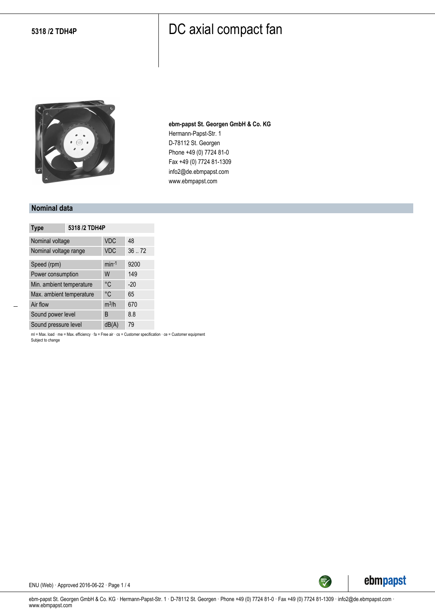

**ebm-papst St. Georgen GmbH & Co. KG** Hermann-Papst-Str. 1 D-78112 St. Georgen Phone +49 (0) 7724 81-0 Fax +49 (0) 7724 81-1309 info2@de.ebmpapst.com www.ebmpapst.com

#### **Nominal data**

| <b>Type</b>              | 5318 /2 TDH4P |            |       |
|--------------------------|---------------|------------|-------|
| Nominal voltage          |               | <b>VDC</b> | 48    |
| Nominal voltage range    |               | <b>VDC</b> | 36.72 |
| Speed (rpm)              |               | $min-1$    | 9200  |
| Power consumption        |               | W          | 149   |
| Min. ambient temperature |               | °C         | $-20$ |
| Max. ambient temperature |               | °C         | 65    |
| Air flow                 |               | $m^3/h$    | 670   |
| Sound power level        |               | B          | 8.8   |
| Sound pressure level     |               | dB(A)      | 79    |

ml = Max. load · me = Max. efficiency · fa = Free air · cs = Customer specification · ce = Customer equipment Subject to change



ENU (Web) · Approved 2016-06-22 · Page 1 / 4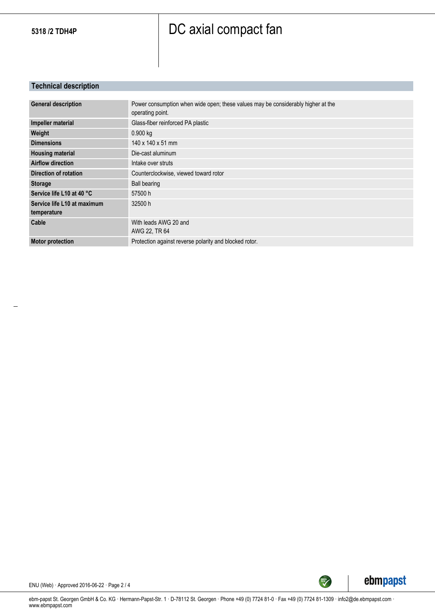### **Technical description**

| <b>General description</b>                 | Power consumption when wide open; these values may be considerably higher at the<br>operating point. |
|--------------------------------------------|------------------------------------------------------------------------------------------------------|
| Impeller material                          | Glass-fiber reinforced PA plastic                                                                    |
| Weight                                     | 0.900 kg                                                                                             |
| <b>Dimensions</b>                          | 140 x 140 x 51 mm                                                                                    |
| <b>Housing material</b>                    | Die-cast aluminum                                                                                    |
| <b>Airflow direction</b>                   | Intake over struts                                                                                   |
| Direction of rotation                      | Counterclockwise, viewed toward rotor                                                                |
| <b>Storage</b>                             | <b>Ball bearing</b>                                                                                  |
| Service life L10 at 40 °C                  | 57500 h                                                                                              |
| Service life L10 at maximum<br>temperature | 32500 h                                                                                              |
| Cable                                      | With leads AWG 20 and<br>AWG 22, TR 64                                                               |
| <b>Motor protection</b>                    | Protection against reverse polarity and blocked rotor.                                               |



ENU (Web) · Approved 2016-06-22 · Page 2 / 4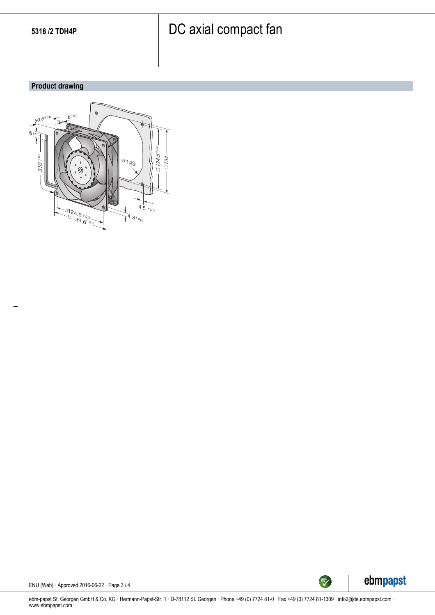### **Product drawing**





ENU (Web) · Approved 2016-06-22 · Page 3 / 4

ebm-papst St. Georgen GmbH & Co. KG · Hermann-Papst-Str. 1 · D-78112 St. Georgen · Phone +49 (0) 7724 81-0 · Fax +49 (0) 7724 81-1309 · info2@de.ebmpapst.com · www.ebmpapst.com